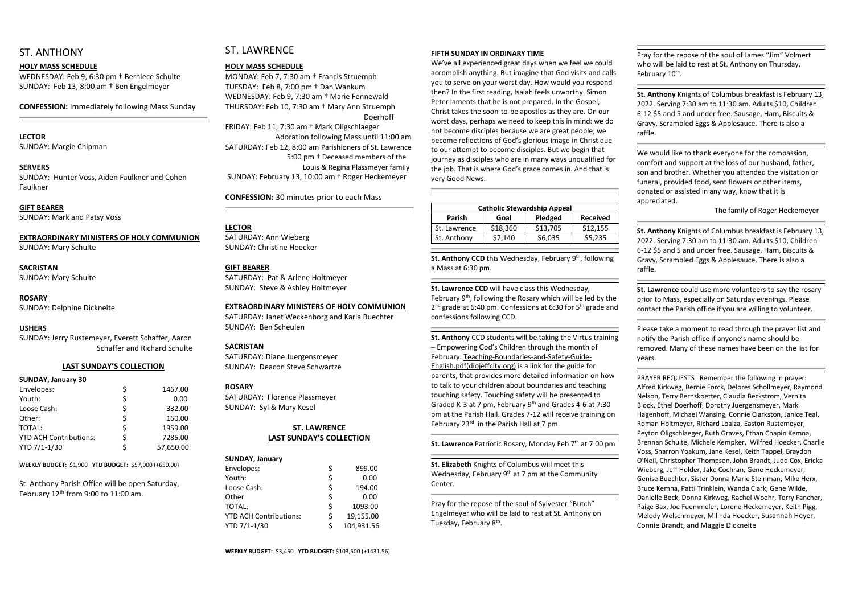## ST. ANTHONY

#### **HOLY MASS SCHEDULE**

WEDNESDAY: Feb 9, 6:30 pm † Berniece Schulte SUNDAY: Feb 13, 8:00 am † Ben Engelmeyer

**CONFESSION:** Immediately following Mass Sunday

## **LECTOR**

SUNDAY: Margie Chipman

#### **SERVERS**

SUNDAY: Hunter Voss, Aiden Faulkner and Cohen Faulkner

#### **GIFT BEARER**

SUNDAY: Mark and Patsy Voss

## **EXTRAORDINARY MINISTERS OF HOLY COMMUNION**

SUNDAY: Mary Schulte

# **SACRISTAN**

St. Anthony Parish Office will be open Saturday, February  $12<sup>th</sup>$  from 9:00 to 11:00 am.

SUNDAY: Mary Schulte

#### **ROSARY**

SUNDAY: Delphine Dickneite

#### **USHERS**

SUNDAY: Jerry Rustemeyer, Everett Schaffer, Aaron Schaffer and Richard Schulte

#### **LAST SUNDAY'S COLLECTION**

#### **SUNDAY, January 30**

| Envelopes:                    |   | 1467.00   |
|-------------------------------|---|-----------|
| Youth:                        |   | 0.00      |
| Loose Cash:                   |   | 332.00    |
| Other:                        |   | 160.00    |
| TOTAL:                        | S | 1959.00   |
| <b>YTD ACH Contributions:</b> |   | 7285.00   |
| YTD 7/1-1/30                  |   | 57,650.00 |

**WEEKLY BUDGET:** \$1,900 **YTD BUDGET:** \$57,000 (+650.00)

## ST. LAWRENCE

#### **HOLY MASS SCHEDULE**

MONDAY: Feb 7, 7:30 am † Francis Struemph TUESDAY: Feb 8, 7:00 pm † Dan Wankum WEDNESDAY: Feb 9, 7:30 am † Marie Fennewald THURSDAY: Feb 10, 7:30 am † Mary Ann Struemph Doerhoff FRIDAY: Feb 11, 7:30 am † Mark Oligschlaeger Adoration following Mass until 11:00 am SATURDAY: Feb 12, 8:00 am Parishioners of St. Lawrence 5:00 pm † Deceased members of the Louis & Regina Plassmeyer family SUNDAY: February 13, 10:00 am † Roger Heckemeyer

**CONFESSION:** 30 minutes prior to each Mass

#### **LECTOR**

SATURDAY: Ann Wieberg SUNDAY: Christine Hoecker

#### **GIFT BEARER**

SATURDAY: Pat & Arlene Holtmeyer SUNDAY: Steve & Ashley Holtmeyer

St. Anthony CCD this Wednesday, February 9<sup>th</sup>, following a Mass at 6:30 pm.

#### **EXTRAORDINARY MINISTERS OF HOLY COMMUNION**

February 9<sup>th</sup>, following the Rosary which will be led by the 2<sup>nd</sup> grade at 6:40 pm. Confessions at 6:30 for 5<sup>th</sup> grade and confessions following CCD.

**St. Anthony** CCD students will be taking the Virtus training – Empowering God's Children through the month of February. Teaching-Boundaries-and-Safety-Guide-English.pdf(diojeffcity.org) is a link for the guide for parents, that provides more detailed information on how to talk to your children about boundaries and teaching touching safety. Touching safety will be presented to Graded K-3 at 7 pm, February 9<sup>th</sup> and Grades 4-6 at 7:30 pm at the Parish Hall. Grades 7-12 will receive training on February 23<sup>rd</sup> in the Parish Hall at 7 pm.

**St. Lawrence** Patriotic Rosary, Monday Feb 7<sup>th</sup> at 7:00 pm

SATURDAY: Janet Weckenborg and Karla Buechter SUNDAY: Ben Scheulen

#### **SACRISTAN**

SATURDAY: Diane Juergensmeyer SUNDAY: Deacon Steve Schwartze

#### **ROSARY**

SATURDAY: Florence Plassmeyer SUNDAY: Syl & Mary Kesel

### **ST. LAWRENCE LAST SUNDAY'S COLLECTION**

| <b>SUNDAY, January</b>        |    |            |
|-------------------------------|----|------------|
| Envelopes:                    | \$ | 899.00     |
| Youth:                        | \$ | 0.00       |
| Loose Cash:                   | \$ | 194.00     |
| Other:                        | \$ | 0.00       |
| <b>TOTAL:</b>                 | \$ | 1093.00    |
| <b>YTD ACH Contributions:</b> | \$ | 19,155.00  |
| YTD 7/1-1/30                  | Ś  | 104,931.56 |

Pray for the repose of the soul of Sylvester "Butch" Engelmeyer who will be laid to rest at St. Anthony on Tuesday, February 8<sup>th</sup>.

Pray for the repose of the soul of James "Jim" Volmert who will be laid to rest at St. Anthony on Thursday, February 10<sup>th</sup>.

#### **FIFTH SUNDAY IN ORDINARY TIME**

We've all experienced great days when we feel we could accomplish anything. But imagine that God visits and calls you to serve on your worst day. How would you respond then? In the first reading, Isaiah feels unworthy. Simon Peter laments that he is not prepared. In the Gospel, Christ takes the soon-to-be apostles as they are. On our worst days, perhaps we need to keep this in mind: we do not become disciples because we are great people; we become reflections of God's glorious image in Christ due to our attempt to become disciples. But we begin that journey as disciples who are in many ways unqualified for the job. That is where God's grace comes in. And that is very Good News.

| <b>Catholic Stewardship Appeal</b> |          |          |                 |  |
|------------------------------------|----------|----------|-----------------|--|
| <b>Parish</b>                      | Goal     | Pledged  | <b>Received</b> |  |
| St. Lawrence                       | \$18,360 | \$13,705 | \$12,155        |  |
| St. Anthony                        | \$7,140  | \$6,035  | \$5,235         |  |

## **St. Lawrence CCD** will have class this Wednesday,

**St. Elizabeth** Knights of Columbus will meet this Wednesday, February  $9<sup>th</sup>$  at 7 pm at the Community Center.

**St. Anthony** Knights of Columbus breakfast is February 13, 2022. Serving 7:30 am to 11:30 am. Adults \$10, Children 6-12 \$5 and 5 and under free. Sausage, Ham, Biscuits & Gravy, Scrambled Eggs & Applesauce. There is also a raffle.

We would like to thank everyone for the compassion, comfort and support at the loss of our husband, father, son and brother. Whether you attended the visitation or funeral, provided food, sent flowers or other items, donated or assisted in any way, know that it is appreciated.

The family of Roger Heckemeyer

**St. Anthony** Knights of Columbus breakfast is February 13, 2022. Serving 7:30 am to 11:30 am. Adults \$10, Children 6-12 \$5 and 5 and under free. Sausage, Ham, Biscuits & Gravy, Scrambled Eggs & Applesauce. There is also a raffle.

**St. Lawrence** could use more volunteers to say the rosary prior to Mass, especially on Saturday evenings. Please contact the Parish office if you are willing to volunteer.

Please take a moment to read through the prayer list and notify the Parish office if anyone's name should be removed. Many of these names have been on the list for years.

PRAYER REQUESTS Remember the following in prayer: Alfred Kirkweg, Bernie Forck, Delores Schollmeyer, Raymond Nelson, Terry Bernskoetter, Claudia Beckstrom, Vernita Block, Ethel Doerhoff, Dorothy Juergensmeyer, Mark Hagenhoff, Michael Wansing, Connie Clarkston, Janice Teal, Roman Holtmeyer, Richard Loaiza, Easton Rustemeyer, Peyton Oligschlaeger, Ruth Graves, Ethan Chapin Kemna, Brennan Schulte, Michele Kempker, Wilfred Hoecker, Charlie Voss, Sharron Yoakum, Jane Kesel, Keith Tappel, Braydon O'Neil, Christopher Thompson, John Brandt, Judd Cox, Ericka Wieberg, Jeff Holder, Jake Cochran, Gene Heckemeyer, Genise Buechter, Sister Donna Marie Steinman, Mike Herx, Bruce Kemna, Patti Trinklein, Wanda Clark, Gene Wilde, Danielle Beck, Donna Kirkweg, Rachel Woehr, Terry Fancher, Paige Bax, Joe Fuemmeler, Lorene Heckemeyer, Keith Pigg, Melody Welschmeyer, Milinda Hoecker, Susannah Heyer, Connie Brandt, and Maggie Dickneite